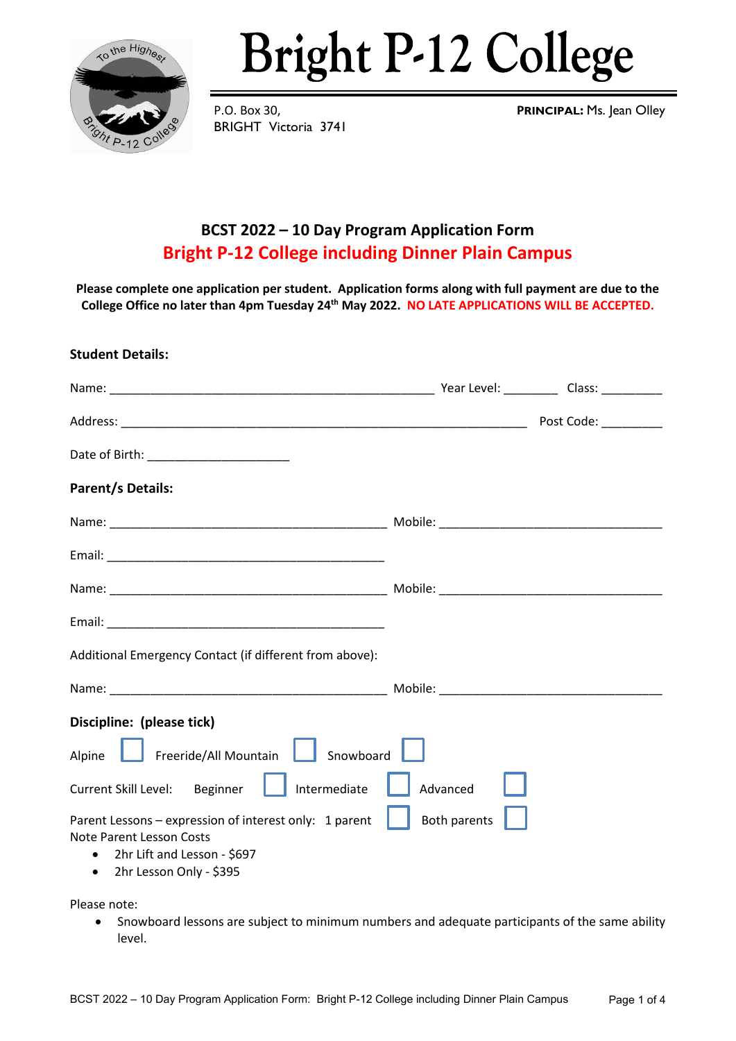

# **Bright P-12 College**

BRIGHT Victoria 3741

P.O. Box 30, **PRINCIPAL:** Ms. Jean Olley

### **BCST 2022 – 10 Day Program Application Form Bright P-12 College including Dinner Plain Campus**

**Please complete one application per student. Application forms along with full payment are due to the College Office no later than 4pm Tuesday 24th May 2022. NO LATE APPLICATIONS WILL BE ACCEPTED.**

## **Student Details:** Name: The contraction of the contraction of the contraction of the contraction of the contraction of the contraction of the contraction of the contraction of the contraction of the contraction of the contraction of the con Address: \_\_\_\_\_\_\_\_\_\_\_\_\_\_\_\_\_\_\_\_\_\_\_\_\_\_\_\_\_\_\_\_\_\_\_\_\_\_\_\_\_\_\_\_\_\_\_\_\_\_\_\_\_\_\_\_\_\_\_\_ Post Code: \_\_\_\_\_\_\_\_\_ Date of Birth: **We are also asset to the UK Parent/s Details:** Name: which is a set of the Mobile:  $\blacksquare$  Mobile:  $\blacksquare$ Email: \_\_\_\_\_\_\_\_\_\_\_\_\_\_\_\_\_\_\_\_\_\_\_\_\_\_\_\_\_\_\_\_\_\_\_\_\_\_\_\_\_ Name: where the contract of the contract of the Mobile:  $\blacksquare$ Email: \_\_\_\_\_\_\_\_\_\_\_\_\_\_\_\_\_\_\_\_\_\_\_\_\_\_\_\_\_\_\_\_\_\_\_\_\_\_\_\_\_ Additional Emergency Contact (if different from above): Name: \_\_\_\_\_\_\_\_\_\_\_\_\_\_\_\_\_\_\_\_\_\_\_\_\_\_\_\_\_\_\_\_\_\_\_\_\_\_\_\_\_ Mobile: \_\_\_\_\_\_\_\_\_\_\_\_\_\_\_\_\_\_\_\_\_\_\_\_\_\_\_\_\_\_\_\_\_ **Discipline: (please tick)**  Alpine **Freeride/All Mountain** Snowboard Current Skill Level: Beginner | | Intermediate | | Advanced Parent Lessons – expression of interest only: 1 parent **Both parents** Note Parent Lesson Costs • 2hr Lift and Lesson - \$697 • 2hr Lesson Only - \$395

Please note:

• Snowboard lessons are subject to minimum numbers and adequate participants of the same ability level.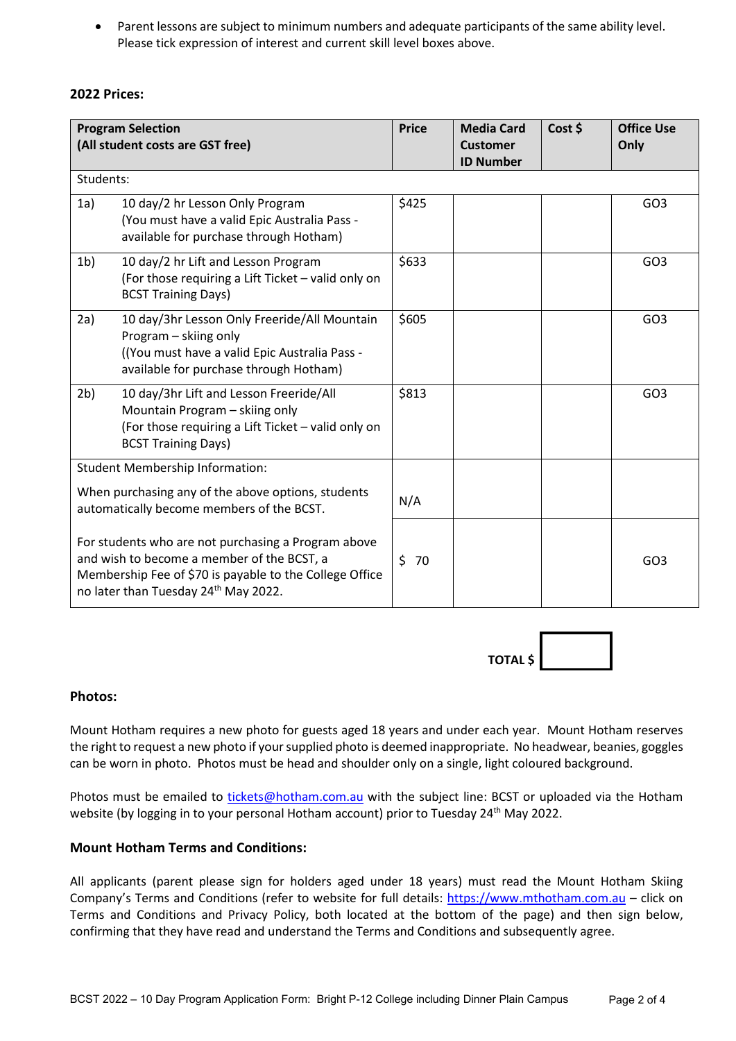• Parent lessons are subject to minimum numbers and adequate participants of the same ability level. Please tick expression of interest and current skill level boxes above.

#### **2022 Prices:**

| <b>Program Selection</b><br>(All student costs are GST free)                                                                                                                                         |                                                                                                                                                                 | <b>Price</b> | <b>Media Card</b><br><b>Customer</b><br><b>ID Number</b> | Cost \$ | <b>Office Use</b><br>Only |  |  |
|------------------------------------------------------------------------------------------------------------------------------------------------------------------------------------------------------|-----------------------------------------------------------------------------------------------------------------------------------------------------------------|--------------|----------------------------------------------------------|---------|---------------------------|--|--|
|                                                                                                                                                                                                      | Students:                                                                                                                                                       |              |                                                          |         |                           |  |  |
| 1a)                                                                                                                                                                                                  | 10 day/2 hr Lesson Only Program<br>(You must have a valid Epic Australia Pass -<br>available for purchase through Hotham)                                       | \$425        |                                                          |         | GO <sub>3</sub>           |  |  |
| 1 <sub>b</sub>                                                                                                                                                                                       | 10 day/2 hr Lift and Lesson Program<br>(For those requiring a Lift Ticket - valid only on<br><b>BCST Training Days)</b>                                         | \$633        |                                                          |         | GO <sub>3</sub>           |  |  |
| 2a)                                                                                                                                                                                                  | 10 day/3hr Lesson Only Freeride/All Mountain<br>Program - skiing only<br>(You must have a valid Epic Australia Pass -<br>available for purchase through Hotham) | \$605        |                                                          |         | GO <sub>3</sub>           |  |  |
| 2 <sub>b</sub>                                                                                                                                                                                       | 10 day/3hr Lift and Lesson Freeride/All<br>Mountain Program - skiing only<br>(For those requiring a Lift Ticket - valid only on<br><b>BCST Training Days)</b>   | \$813        |                                                          |         | GO <sub>3</sub>           |  |  |
| <b>Student Membership Information:</b>                                                                                                                                                               |                                                                                                                                                                 |              |                                                          |         |                           |  |  |
| When purchasing any of the above options, students<br>automatically become members of the BCST.                                                                                                      |                                                                                                                                                                 | N/A          |                                                          |         |                           |  |  |
| For students who are not purchasing a Program above<br>and wish to become a member of the BCST, a<br>Membership Fee of \$70 is payable to the College Office<br>no later than Tuesday 24th May 2022. |                                                                                                                                                                 | Ś.<br>70     |                                                          |         | GO <sub>3</sub>           |  |  |



#### **Photos:**

Mount Hotham requires a new photo for guests aged 18 years and under each year. Mount Hotham reserves the right to request a new photo if your supplied photo is deemed inappropriate. No headwear, beanies, goggles can be worn in photo. Photos must be head and shoulder only on a single, light coloured background.

Photos must be emailed to [tickets@hotham.com.au](mailto:tickets@hotham.com.au) with the subject line: BCST or uploaded via the Hotham website (by logging in to your personal Hotham account) prior to Tuesday 24<sup>th</sup> May 2022.

#### **Mount Hotham Terms and Conditions:**

All applicants (parent please sign for holders aged under 18 years) must read the Mount Hotham Skiing Company's Terms and Conditions (refer to website for full details: [https://www.mthotham.com.au](https://www.mthotham.com.au/) - click on Terms and Conditions and Privacy Policy, both located at the bottom of the page) and then sign below, confirming that they have read and understand the Terms and Conditions and subsequently agree.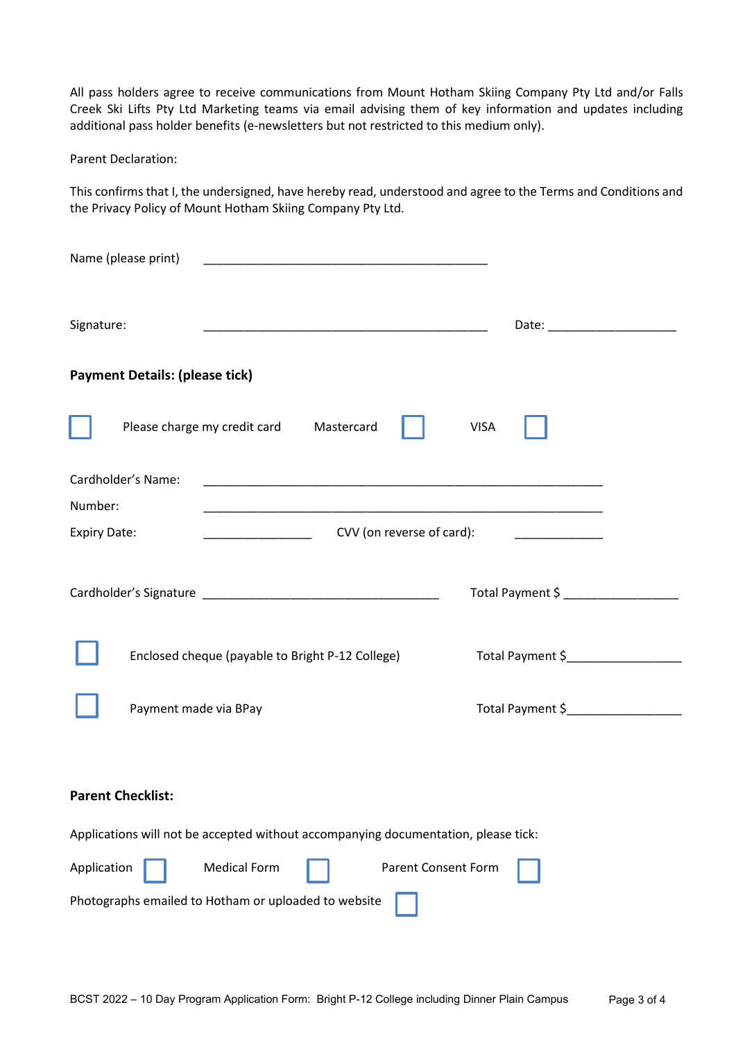All pass holders agree to receive communications from Mount Hotham Skiing Company Pty Ltd and/or Falls Creek Ski Lifts Pty Ltd Marketing teams via email advising them of key information and updates including additional pass holder benefits (e-newsletters but not restricted to this medium only).

Parent Declaration:

This confirms that I, the undersigned, have hereby read, understood and agree to the Terms and Conditions and the Privacy Policy of Mount Hotham Skiing Company Pty Ltd.

| Name (please print)                                                                                               |                                   |
|-------------------------------------------------------------------------------------------------------------------|-----------------------------------|
| Signature:                                                                                                        |                                   |
| <b>Payment Details: (please tick)</b>                                                                             |                                   |
| Please charge my credit card<br>Mastercard                                                                        | <b>VISA</b>                       |
| Cardholder's Name:<br>Number:                                                                                     |                                   |
| CVV (on reverse of card):<br><b>Expiry Date:</b>                                                                  |                                   |
|                                                                                                                   | Total Payment \$                  |
| Enclosed cheque (payable to Bright P-12 College)                                                                  | Total Payment \$_________________ |
| Payment made via BPay                                                                                             | Total Payment \$                  |
| <b>Parent Checklist:</b>                                                                                          |                                   |
| Applications will not be accepted without accompanying documentation, please tick:                                |                                   |
| Application<br><b>Medical Form</b><br>Parent Consent Form<br>Photographs emailed to Hotham or uploaded to website |                                   |
|                                                                                                                   |                                   |